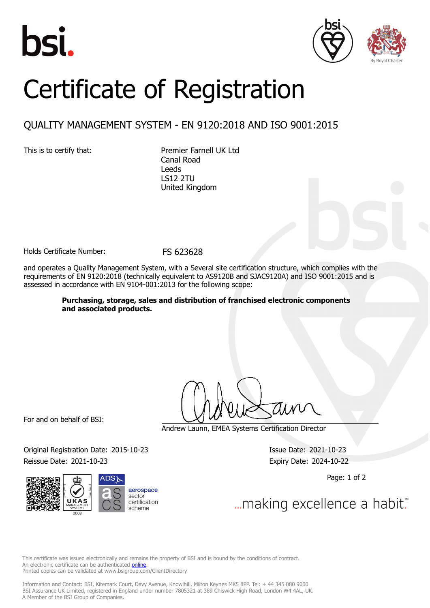





## Certificate of Registration

## QUALITY MANAGEMENT SYSTEM - EN 9120:2018 AND ISO 9001:2015

This is to certify that: Premier Farnell UK Ltd Canal Road Leeds LS12 2TU United Kingdom

Holds Certificate Number: FS 623628

and operates a Quality Management System, with a Several site certification structure, which complies with the requirements of EN 9120:2018 (technically equivalent to AS9120B and SJAC9120A) and ISO 9001:2015 and is assessed in accordance with EN 9104-001:2013 for the following scope:

> **Purchasing, storage, sales and distribution of franchised electronic components and associated products.**

For and on behalf of BSI:

Andrew Launn, EMEA Systems Certification Director

Original Registration Date: 2015-10-23 Issue Date: 2021-10-23 Reissue Date: 2021-10-23 **Expiry Date: 2024-10-22** 



Page: 1 of 2

... making excellence a habit.

This certificate was issued electronically and remains the property of BSI and is bound by the conditions of contract. An electronic certificate can be authenticated **[online](https://pgplus.bsigroup.com/CertificateValidation/CertificateValidator.aspx?CertificateNumber=FS+623628&ReIssueDate=23%2f10%2f2021&Template=uk)**. Printed copies can be validated at www.bsigroup.com/ClientDirectory

Information and Contact: BSI, Kitemark Court, Davy Avenue, Knowlhill, Milton Keynes MK5 8PP. Tel: + 44 345 080 9000 BSI Assurance UK Limited, registered in England under number 7805321 at 389 Chiswick High Road, London W4 4AL, UK. A Member of the BSI Group of Companies.